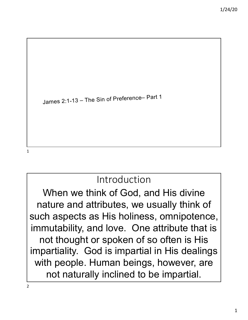

# Introduction

When we think of God, and His divine nature and attributes, we usually think of such aspects as His holiness, omnipotence, immutability, and love. One attribute that is not thought or spoken of so often is His impartiality. God is impartial in His dealings with people. Human beings, however, are not naturally inclined to be impartial.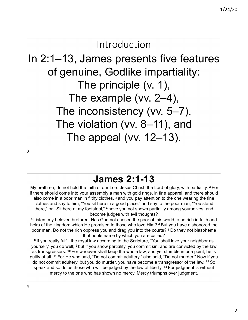# Introduction

In 2:1–13, James presents five features of genuine, Godlike impartiality: The principle (v. 1), The example (vv. 2–4), The inconsistency (vv. 5–7), The violation (vv. 8–11), and The appeal (vv. 12–13).

3

# **James 2:1-13**

My brethren, do not hold the faith of our Lord Jesus Christ, the Lord of glory, with partiality. **<sup>2</sup>** For if there should come into your assembly a man with gold rings, in fine apparel, and there should also come in a poor man in filthy clothes, **<sup>3</sup>** and you pay attention to the one wearing the fine clothes and say to him, "You sit here in a good place," and say to the poor man, "You stand there," or, "Sit here at my footstool," **<sup>4</sup>** have you not shown partiality among yourselves, and become judges with evil thoughts?

**<sup>5</sup>** Listen, my beloved brethren: Has God not chosen the poor of this world to be rich in faith and heirs of the kingdom which He promised to those who love Him? **<sup>6</sup>** But you have dishonored the poor man. Do not the rich oppress you and drag you into the courts? **<sup>7</sup>** Do they not blaspheme that noble name by which you are called?

**<sup>8</sup>** If you really fulfill the royal law according to the Scripture, "You shall love your neighbor as yourself," you do well; **<sup>9</sup>** but if you show partiality, you commit sin, and are convicted by the law as transgressors. **<sup>10</sup>** For whoever shall keep the whole law, and yet stumble in one point, he is guilty of all. **<sup>11</sup>** For He who said, "Do not commit adultery," also said, "Do not murder." Now if you do not commit adultery, but you do murder, you have become a transgressor of the law. **<sup>12</sup>** So speak and so do as those who will be judged by the law of liberty. **<sup>13</sup>** For judgment is without mercy to the one who has shown no mercy. Mercy triumphs over judgment.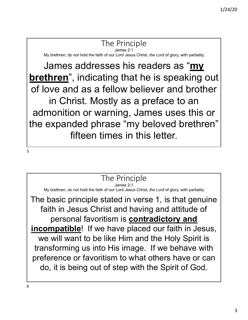### The Principle

James 2:1

My brethren, do not hold the faith of our Lord Jesus Christ, *the Lord* of glory, with partiality.

James addresses his readers as "**my brethren**", indicating that he is speaking out of love and as a fellow believer and brother in Christ. Mostly as a preface to an admonition or warning, James uses this or the expanded phrase "my beloved brethren" fifteen times in this letter.

The Principle

James 2:1

My brethren, do not hold the faith of our Lord Jesus Christ, *the Lord* of glory, with partiality.

The basic principle stated in verse 1, is that genuine faith in Jesus Christ and having and attitude of personal favoritism is **contradictory and incompatible**! If we have placed our faith in Jesus, we will want to be like Him and the Holy Spirit is transforming us into His image. If we behave with preference or favoritism to what others have or can do, it is being out of step with the Spirit of God.

6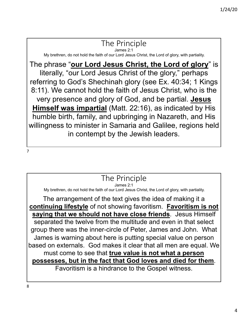### The Principle

James 2:1

My brethren, do not hold the faith of our Lord Jesus Christ, the Lord of glory, with partiality.

The phrase "**our Lord Jesus Christ, the Lord of glory**" is literally, "our Lord Jesus Christ of the glory," perhaps referring to God's Shechinah glory (see Ex. 40:34; 1 Kings 8:11). We cannot hold the faith of Jesus Christ, who is the very presence and glory of God, and be partial. **Jesus Himself was impartial** (Matt. 22:16), as indicated by His humble birth, family, and upbringing in Nazareth, and His willingness to minister in Samaria and Galilee, regions held in contempt by the Jewish leaders.

### The Principle

James 2:1

My brethren, do not hold the faith of our Lord Jesus Christ, the Lord of glory, with partiality.

The arrangement of the text gives the idea of making it a **continuing lifestyle** of not showing favoritism. **Favoritism is not saying that we should not have close friends**. Jesus Himself separated the twelve from the multitude and even in that select group there was the inner-circle of Peter, James and John. What James is warning about here is putting special value on person based on externals. God makes it clear that all men are equal. We must come to see that **true value is not what a person possesses, but in the fact that God loves and died for them**. Favoritism is a hindrance to the Gospel witness.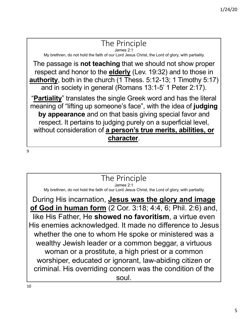### The Principle

James 2:1 My brethren, do not hold the faith of our Lord Jesus Christ, the Lord of glory, with partiality.

The passage is **not teaching** that we should not show proper respect and honor to the **elderly** (Lev. 19:32) and to those in **authority**, both in the church (1 Thess. 5:12-13; 1 Timothy 5:17) and in society in general (Romans 13:1-5' 1 Peter 2:17).

"**Partiality**" translates the single Greek word and has the literal meaning of "lifting up someone's face", with the idea of **judging by appearance** and on that basis giving special favor and respect. It pertains to judging purely on a superficial level, without consideration of **a person's true merits, abilities, or character**.

9

### The Principle

James 2:1

My brethren, do not hold the faith of our Lord Jesus Christ, the Lord of glory, with partiality.

During His incarnation, **Jesus was the glory and image of God in human form** (2 Cor. 3:18; 4:4, 6; Phil. 2:6) and, like His Father, He **showed no favoritism**, a virtue even His enemies acknowledged. It made no difference to Jesus whether the one to whom He spoke or ministered was a wealthy Jewish leader or a common beggar, a virtuous woman or a prostitute, a high priest or a common worshiper, educated or ignorant, law-abiding citizen or criminal. His overriding concern was the condition of the soul.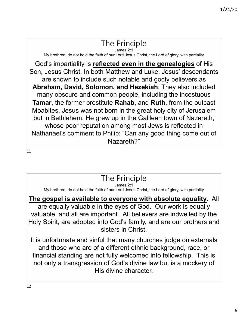#### The Principle James 2:1

My brethren, do not hold the faith of our Lord Jesus Christ, the Lord of glory, with partiality.

God's impartiality is **reflected even in the genealogies** of His Son, Jesus Christ. In both Matthew and Luke, Jesus' descendants are shown to include such notable and godly believers as **Abraham, David, Solomon, and Hezekiah**. They also included many obscure and common people, including the incestuous **Tamar**, the former prostitute **Rahab**, and **Ruth**, from the outcast Moabites. Jesus was not born in the great holy city of Jerusalem but in Bethlehem. He grew up in the Galilean town of Nazareth, whose poor reputation among most Jews is reflected in Nathanael's comment to Philip: "Can any good thing come out of Nazareth?"

11

### The Principle

James 2:1

My brethren, do not hold the faith of our Lord Jesus Christ, the Lord of glory, with partiality.

### **The gospel is available to everyone with absolute equality**. All

are equally valuable in the eyes of God. Our work is equally valuable, and all are important. All believers are indwelled by the Holy Spirit, are adopted into God's family, and are our brothers and sisters in Christ.

It is unfortunate and sinful that many churches judge on externals and those who are of a different ethnic background, race, or financial standing are not fully welcomed into fellowship. This is not only a transgression of God's divine law but is a mockery of His divine character.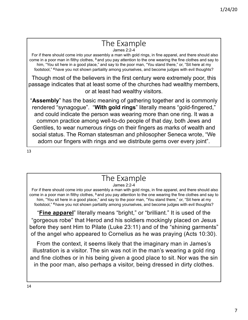#### The Example James 2:2-4

For if there should come into your assembly a man with gold rings, in fine apparel, and there should also come in a poor man in filthy clothes, **<sup>3</sup>** and you pay attention to the one wearing the fine clothes and say to him, "You sit here in a good place," and say to the poor man, "You stand there," or, "Sit here at my footstool," **<sup>4</sup>** have you not shown partiality among yourselves, and become judges with evil thoughts?

Though most of the believers in the first century were extremely poor, this passage indicates that at least some of the churches had wealthy members, or at least had wealthy visitors.

"**Assembly**" has the basic meaning of gathering together and is commonly rendered "synagogue". "**With gold rings**" literally means "gold-fingered," and could indicate the person was wearing more than one ring. It was a common practice among well-to-do people of that day, both Jews and Gentiles, to wear numerous rings on their fingers as marks of wealth and social status. The Roman statesman and philosopher Seneca wrote, "We adorn our fingers with rings and we distribute gems over every joint".

13

# The Example

James 2:2-4

For if there should come into your assembly a man with gold rings, in fine apparel, and there should also come in a poor man in filthy clothes, **<sup>3</sup>** and you pay attention to the one wearing the fine clothes and say to him, "You sit here in a good place," and say to the poor man, "You stand there," or, "Sit here at my footstool," **<sup>4</sup>** have you not shown partiality among yourselves, and become judges with evil thoughts?

"**Fine apparel**" literally means "bright," or "brilliant." It is used of the "gorgeous robe" that Herod and his soldiers mockingly placed on Jesus before they sent Him to Pilate (Luke 23:11) and of the "shining garments" of the angel who appeared to Cornelius as he was praying (Acts 10:30).

From the context, it seems likely that the imaginary man in James's illustration is a visitor. The sin was not in the man's wearing a gold ring and fine clothes or in his being given a good place to sit. Nor was the sin in the poor man, also perhaps a visitor, being dressed in dirty clothes.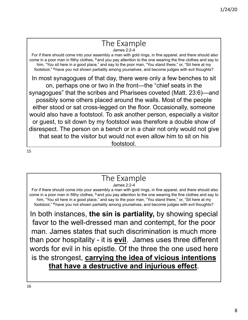## The Example

James 2:2-4 For if there should come into your assembly a man with gold rings, in fine apparel, and there should also come in a poor man in filthy clothes, **<sup>3</sup>** and you pay attention to the one wearing the fine clothes and say to him, "You sit here in a good place," and say to the poor man, "You stand there," or, "Sit here at my footstool," **<sup>4</sup>** have you not shown partiality among yourselves, and become judges with evil thoughts?

In most synagogues of that day, there were only a few benches to sit on, perhaps one or two in the front—the "chief seats in the synagogues" that the scribes and Pharisees coveted (Matt. 23:6)—and possibly some others placed around the walls. Most of the people either stood or sat cross-legged on the floor. Occasionally, someone would also have a footstool. To ask another person, especially a visitor or guest, to sit down by my footstool was therefore a double show of disrespect. The person on a bench or in a chair not only would not give that seat to the visitor but would not even allow him to sit on his footstool.

15

## The Example

James 2:2-4

For if there should come into your assembly a man with gold rings, in fine apparel, and there should also come in a poor man in filthy clothes, **<sup>3</sup>** and you pay attention to the one wearing the fine clothes and say to him, "You sit here in a good place," and say to the poor man, "You stand there," or, "Sit here at my footstool," **<sup>4</sup>** have you not shown partiality among yourselves, and become judges with evil thoughts?

In both instances, **the sin is partiality,** by showing special favor to the well-dressed man and contempt, for the poor man. James states that such discrimination is much more than poor hospitality - it is **evil**. James uses three different words for evil in his epistle. Of the three the one used here is the strongest, **carrying the idea of vicious intentions that have a destructive and injurious effect**.